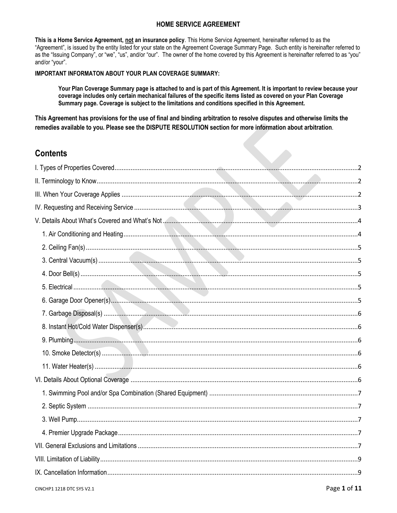# **HOME SERVICE AGREEMENT**

This is a Home Service Agreement, not an insurance policy. This Home Service Agreement, hereinafter referred to as the "Agreement", is issued by the entity listed for your state on the Agreement Coverage Summary Page. Such entity is hereinafter referred to as the "Issuing Company", or "we", "us", and/or "our". The owner of the home covered by this Agreement is hereinafter referred to as "you" and/or "your".

## **IMPORTANT INFORMATON ABOUT YOUR PLAN COVERAGE SUMMARY:**

Your Plan Coverage Summary page is attached to and is part of this Agreement. It is important to review because your coverage includes only certain mechanical failures of the specific items listed as covered on your Plan Coverage Summary page. Coverage is subject to the limitations and conditions specified in this Agreement.

This Agreement has provisions for the use of final and binding arbitration to resolve disputes and otherwise limits the remedies available to you. Please see the DISPUTE RESOLUTION section for more information about arbitration.

# **Contents**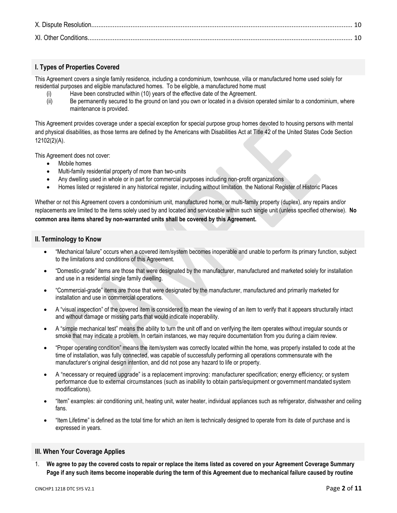# <span id="page-1-0"></span>**I. Types of Properties Covered**

This Agreement covers a single family residence, including a condominium, townhouse, villa or manufactured home used solely for residential purposes and eligible manufactured homes. To be eligible, a manufactured home must

- (i) Have been constructed within (10) years of the effective date of the Agreement.
- (ii) Be permanently secured to the ground on land you own or located in a division operated similar to a condominium, where maintenance is provided.

This Agreement provides coverage under a special exception for special purpose group homes devoted to housing persons with mental and physical disabilities, as those terms are defined by the Americans with Disabilities Act at Title 42 of the United States Code Section 12102(2)(A).

This Agreement does not cover:

- Mobile homes
- Multi-family residential property of more than two-units
- Any dwelling used in whole or in part for commercial purposes including non-profit organizations
- Homes listed or registered in any historical register, including without limitation the National Register of Historic Places

Whether or not this Agreement covers a condominium unit, manufactured home, or multi-family property (duplex), any repairs and/or replacements are limited to the items solely used by and located and serviceable within such single unit (unless specified otherwise). **No common area items shared by non-warranted units shall be covered by this Agreement.**

## <span id="page-1-1"></span>**II. Terminology to Know**

- "Mechanical failure" occurs when a covered item/system becomes inoperable and unable to perform its primary function, subject to the limitations and conditions of this Agreement.
- "Domestic-grade" items are those that were designated by the manufacturer, manufactured and marketed solely for installation and use in a residential single family dwelling.
- "Commercial-grade" items are those that were designated by the manufacturer, manufactured and primarily marketed for installation and use in commercial operations.
- A "visual inspection" of the covered item is considered to mean the viewing of an item to verify that it appears structurally intact and without damage or missing parts that would indicate inoperability.
- A "simple mechanical test" means the ability to turn the unit off and on verifying the item operates without irregular sounds or smoke that may indicate a problem. In certain instances, we may require documentation from you during a claim review.
- "Proper operating condition" means the item/system was correctly located within the home, was properly installed to code at the time of installation, was fully connected, was capable of successfully performing all operations commensurate with the manufacturer's original design intention, and did not pose any hazard to life or property.
- A "necessary or required upgrade" is a replacement improving: manufacturer specification; energy efficiency; or system performance due to external circumstances (such as inability to obtain parts/equipment or government mandated system modifications).
- "Item" examples: air conditioning unit, heating unit, water heater, individual appliances such as refrigerator, dishwasher and ceiling fans.
- "Item Lifetime" is defined as the total time for which an item is technically designed to operate from its date of purchase and is expressed in years.

# <span id="page-1-2"></span>**III. When Your Coverage Applies**

1. **We agree to pay the covered costs to repair or replace the items listed as covered on your Agreement Coverage Summary Page if any such items become inoperable during the term of this Agreement due to mechanical failure caused by routine**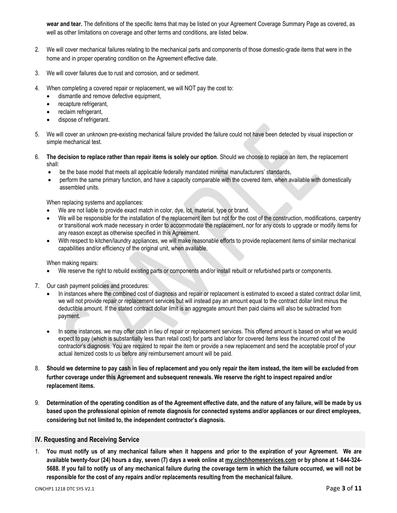**wear and tear.** The definitions of the specific items that may be listed on your Agreement Coverage Summary Page as covered, as well as other limitations on coverage and other terms and conditions, are listed below.

- 2. We will cover mechanical failures relating to the mechanical parts and components of those domestic-grade items that were in the home and in proper operating condition on the Agreement effective date.
- 3. We will cover failures due to rust and corrosion, and or sediment.
- 4. When completing a covered repair or replacement, we will NOT pay the cost to:
	- dismantle and remove defective equipment,
	- recapture refrigerant,
	- reclaim refrigerant,
	- dispose of refrigerant.
- 5. We will cover an unknown pre-existing mechanical failure provided the failure could not have been detected by visual inspection or simple mechanical test.
- 6. **The decision to replace rather than repair items is solely our option**. Should we choose to replace an item, the replacement shall:
	- be the base model that meets all applicable federally mandated minimal manufacturers' standards,
	- perform the same primary function, and have a capacity comparable with the covered item, when available with domestically assembled units.

When replacing systems and appliances:

- We are not liable to provide exact match in color, dye, lot, material, type or brand.
- We will be responsible for the installation of the replacement item but not for the cost of the construction, modifications, carpentry or transitional work made necessary in order to accommodate the replacement, nor for any costs to upgrade or modify items for any reason except as otherwise specified in this Agreement.
- With respect to kitchen/laundry appliances, we will make reasonable efforts to provide replacement items of similar mechanical capabilities and/or efficiency of the original unit, when available.

When making repairs:

- We reserve the right to rebuild existing parts or components and/or install rebuilt or refurbished parts or components.
- 7. Our cash payment policies and procedures:
	- In instances where the combined cost of diagnosis and repair or replacement is estimated to exceed a stated contract dollar limit, we will not provide repair or replacement services but will instead pay an amount equal to the contract dollar limit minus the deductible amount. If the stated contract dollar limit is an aggregate amount then paid claims will also be subtracted from payment.
	- In some instances, we may offer cash in lieu of repair or replacement services. This offered amount is based on what we would expect to pay (which is substantially less than retail cost) for parts and labor for covered items less the incurred cost of the contractor's diagnosis. You are required to repair the item or provide a new replacement and send the acceptable proof of your actual itemized costs to us before any reimbursement amount will be paid.
- 8. **Should we determine to pay cash in lieu of replacement and you only repair the item instead, the item will be excluded from further coverage under this Agreement and subsequent renewals. We reserve the right to inspect repaired and/or replacement items.**
- 9. **Determination of the operating condition as of the Agreement effective date, and the nature of any failure, will be made by us based upon the professional opinion of remote diagnosis for connected systems and/or appliances or our direct employees, considering but not limited to, the independent contractor's diagnosis.**

### <span id="page-2-0"></span>**IV. Requesting and Receiving Service**

1. **You must notify us of any mechanical failure when it happens and prior to the expiration of your Agreement. We are available twenty-four (24) hours a day, seven (7) days a week online at [my.cinchhomeservices.com](http://www.x.com/) or by phone at 1-844-324- 5688. If you fail to notify us of any mechanical failure during the coverage term in which the failure occurred, we will not be responsible for the cost of any repairs and/or replacements resulting from the mechanical failure.**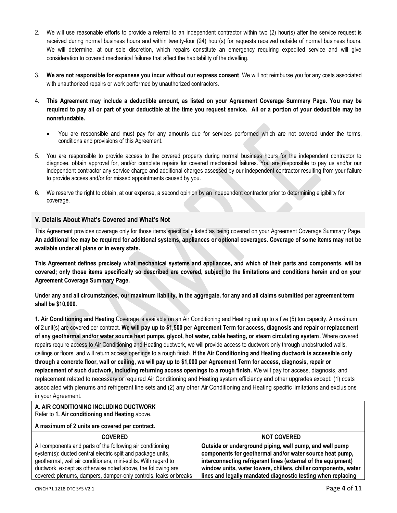- 2. We will use reasonable efforts to provide a referral to an independent contractor within two (2) hour(s) after the service request is received during normal business hours and within twenty-four (24) hour(s) for requests received outside of normal business hours. We will determine, at our sole discretion, which repairs constitute an emergency requiring expedited service and will give consideration to covered mechanical failures that affect the habitability of the dwelling.
- 3. **We are not responsible for expenses you incur without our express consent**. We will not reimburse you for any costs associated with unauthorized repairs or work performed by unauthorized contractors.
- 4. **This Agreement may include a deductible amount, as listed on your Agreement Coverage Summary Page. You may be required to pay all or part of your deductible at the time you request service. All or a portion of your deductible may be nonrefundable.** 
	- You are responsible and must pay for any amounts due for services performed which are not covered under the terms, conditions and provisions of this Agreement.
- 5. You are responsible to provide access to the covered property during normal business hours for the independent contractor to diagnose, obtain approval for, and/or complete repairs for covered mechanical failures. You are responsible to pay us and/or our independent contractor any service charge and additional charges assessed by our independent contractor resulting from your failure to provide access and/or for missed appointments caused by you.
- 6. We reserve the right to obtain, at our expense, a second opinion by an independent contractor prior to determining eligibility for coverage.

## <span id="page-3-0"></span>**V. Details About What's Covered and What's Not**

This Agreement provides coverage only for those items specifically listed as being covered on your Agreement Coverage Summary Page. **An additional fee may be required for additional systems, appliances or optional coverages. Coverage of some items may not be available under all plans or in every state.**

**This Agreement defines precisely what mechanical systems and appliances, and which of their parts and components, will be covered; only those items specifically so described are covered, subject to the limitations and conditions herein and on your Agreement Coverage Summary Page.** 

**Under any and all circumstances, our maximum liability, in the aggregate, for any and all claims submitted per agreement term shall be \$10,000.**

<span id="page-3-1"></span>**1. Air Conditioning and Heating** Coverage is available on an Air Conditioning and Heating unit up to a five (5) ton capacity. A maximum of 2 unit(s) are covered per contract. **We will pay up to \$1,500 per Agreement Term for access, diagnosis and repair or replacement of any geothermal and/or water source heat pumps, glycol, hot water, cable heating, or steam circulating system.** Where covered repairs require access to Air Conditioning and Heating ductwork, we will provide access to ductwork only through unobstructed walls, ceilings or floors, and will return access openings to a rough finish. **If the Air Conditioning and Heating ductwork is accessible only through a concrete floor, wall or ceiling, we will pay up to \$1,000 per Agreement Term for access, diagnosis, repair or replacement of such ductwork, including returning access openings to a rough finish.** We will pay for access, diagnosis, and replacement related to necessary or required Air Conditioning and Heating system efficiency and other upgrades except: (1) costs associated with plenums and refrigerant line sets and (2) any other Air Conditioning and Heating specific limitations and exclusions in your Agreement.

#### **A. AIR CONDITIONING INCLUDING DUCTWORK** Refer to **1. Air conditioning and Heating** above.

### **A maximum of 2 units are covered per contract.**

| <b>COVERED</b>                                                   | <b>NOT COVERED</b>                                              |
|------------------------------------------------------------------|-----------------------------------------------------------------|
| All components and parts of the following air conditioning       | Outside or underground piping, well pump, and well pump         |
| system(s): ducted central electric split and package units,      | components for geothermal and/or water source heat pump,        |
| geothermal, wall air conditioners, mini-splits. With regard to   | interconnecting refrigerant lines (external of the equipment)   |
| ductwork, except as otherwise noted above, the following are     | window units, water towers, chillers, chiller components, water |
| covered: plenums, dampers, damper-only controls, leaks or breaks | lines and legally mandated diagnostic testing when replacing    |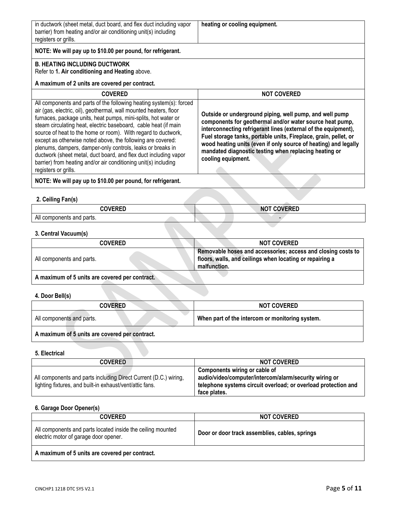| in ductwork (sheet metal, duct board, and flex duct including vapor |
|---------------------------------------------------------------------|
| barrier) from heating and/or air conditioning unit(s) including     |
| registers or grills.                                                |

**heating or cooling equipment.**

# **NOTE: We will pay up to \$10.00 per pound, for refrigerant.**

# **B. HEATING INCLUDING DUCTWORK**

Refer to **1. Air conditioning and Heating** above.

#### **A maximum of 2 units are covered per contract.**

| <b>COVERED</b>                                                                                                                                                                                                                                                                                                                                                                                                                                                                                                                                                                                                                             | <b>NOT COVERED</b>                                                                                                                                                                                                                                                                                                                                                                                          |
|--------------------------------------------------------------------------------------------------------------------------------------------------------------------------------------------------------------------------------------------------------------------------------------------------------------------------------------------------------------------------------------------------------------------------------------------------------------------------------------------------------------------------------------------------------------------------------------------------------------------------------------------|-------------------------------------------------------------------------------------------------------------------------------------------------------------------------------------------------------------------------------------------------------------------------------------------------------------------------------------------------------------------------------------------------------------|
| All components and parts of the following heating system(s): forced<br>air (gas, electric, oil), geothermal, wall mounted heaters, floor<br>furnaces, package units, heat pumps, mini-splits, hot water or<br>steam circulating heat, electric baseboard, cable heat (if main<br>source of heat to the home or room). With regard to ductwork,<br>except as otherwise noted above, the following are covered:<br>plenums, dampers, damper-only controls, leaks or breaks in<br>ductwork (sheet metal, duct board, and flex duct including vapor<br>barrier) from heating and/or air conditioning unit(s) including<br>registers or grills. | Outside or underground piping, well pump, and well pump<br>components for geothermal and/or water source heat pump,<br>interconnecting refrigerant lines (external of the equipment),<br>Fuel storage tanks, portable units, Fireplace, grain, pellet, or<br>wood heating units (even if only source of heating) and legally<br>mandated diagnostic testing when replacing heating or<br>cooling equipment. |

# **NOTE: We will pay up to \$10.00 per pound, for refrigerant.**

## <span id="page-4-0"></span>**2. Ceiling Fan(s)**

| <u>AAULDED</u>            | - - <b>- - - - -</b> - -<br>$\sim$<br>ייי |
|---------------------------|-------------------------------------------|
| All components and parts. |                                           |

# <span id="page-4-1"></span>**3. Central Vacuum(s)**

| COVERED                                       | <b>NOT COVERED</b>                                                                                                                       |
|-----------------------------------------------|------------------------------------------------------------------------------------------------------------------------------------------|
| All components and parts.                     | Removable hoses and accessories; access and closing costs to<br>floors, walls, and ceilings when locating or repairing a<br>malfunction. |
| A maximum of 5 unite are covered ner contract |                                                                                                                                          |

**A maximum of 5 units are covered per contract.** 

# <span id="page-4-2"></span>**4. Door Bell(s)**

| <b>COVERED</b>            | <b>NOT COVERED</b>                              |
|---------------------------|-------------------------------------------------|
| All components and parts. | When part of the intercom or monitoring system. |
|                           |                                                 |

## **A maximum of 5 units are covered per contract.**

## <span id="page-4-3"></span>**5. Electrical**

| <b>COVERED</b>                                                                                                               | <b>NOT COVERED</b>                                                                                                                                        |
|------------------------------------------------------------------------------------------------------------------------------|-----------------------------------------------------------------------------------------------------------------------------------------------------------|
| All components and parts including Direct Current (D.C.) wiring,<br>lighting fixtures, and built-in exhaust/vent/attic fans. | Components wiring or cable of<br>audio/video/computer/intercom/alarm/security wiring or<br>telephone systems circuit overload; or overload protection and |
|                                                                                                                              | face plates.                                                                                                                                              |

## <span id="page-4-4"></span>**6. Garage Door Opener(s)**

| <b>COVERED</b>                                                                                       | <b>NOT COVERED</b>                             |
|------------------------------------------------------------------------------------------------------|------------------------------------------------|
| All components and parts located inside the ceiling mounted<br>electric motor of garage door opener. | Door or door track assemblies, cables, springs |
| A maximum of 5 units are covered per contract.                                                       |                                                |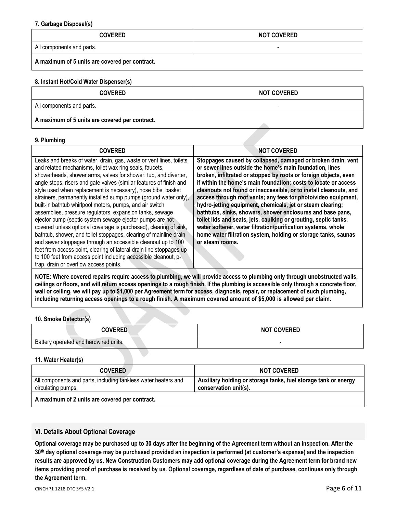#### <span id="page-5-0"></span>**7. Garbage Disposal(s)**

| <b>COVERED</b>                                 | <b>NOT COVERED</b> |
|------------------------------------------------|--------------------|
| All components and parts.                      |                    |
| A maximum of 5 units are covered per contract. |                    |

#### <span id="page-5-1"></span>**8. Instant Hot/Cold Water Dispenser(s)**

| <b>COVERED</b>                                 | <b>NOT COVERED</b> |
|------------------------------------------------|--------------------|
| All components and parts.                      |                    |
| A maximum of 5 units are covered per contract. |                    |

#### <span id="page-5-2"></span>**9. Plumbing**

| <b>COVERED</b>                                                                                                                                                                                                                                                                                                                                                                                                                                                                                                                                                                                                                                                                                                                                                                                                                                                                    | <b>NOT COVERED</b>                                                                                                                                                                                                                                                                                                                                                                                                                                                                                                                                                                                                                                                                                                                                          |
|-----------------------------------------------------------------------------------------------------------------------------------------------------------------------------------------------------------------------------------------------------------------------------------------------------------------------------------------------------------------------------------------------------------------------------------------------------------------------------------------------------------------------------------------------------------------------------------------------------------------------------------------------------------------------------------------------------------------------------------------------------------------------------------------------------------------------------------------------------------------------------------|-------------------------------------------------------------------------------------------------------------------------------------------------------------------------------------------------------------------------------------------------------------------------------------------------------------------------------------------------------------------------------------------------------------------------------------------------------------------------------------------------------------------------------------------------------------------------------------------------------------------------------------------------------------------------------------------------------------------------------------------------------------|
| Leaks and breaks of water, drain, gas, waste or vent lines, toilets<br>and related mechanisms, toilet wax ring seals, faucets,<br>showerheads, shower arms, valves for shower, tub, and diverter,<br>angle stops, risers and gate valves (similar features of finish and<br>style used when replacement is necessary), hose bibs, basket<br>strainers, permanently installed sump pumps (ground water only),<br>built-in bathtub whirlpool motors, pumps, and air switch<br>assemblies, pressure regulators, expansion tanks, sewage<br>ejector pump (septic system sewage ejector pumps are not<br>covered unless optional coverage is purchased), clearing of sink,<br>bathtub, shower, and toilet stoppages, clearing of mainline drain<br>and sewer stoppages through an accessible cleanout up to 100<br>feet from access point, clearing of lateral drain line stoppages up | Stoppages caused by collapsed, damaged or broken drain, vent<br>or sewer lines outside the home's main foundation, lines<br>broken, infiltrated or stopped by roots or foreign objects, even<br>if within the home's main foundation; costs to locate or access<br>cleanouts not found or inaccessible, or to install cleanouts, and<br>access through roof vents; any fees for photo/video equipment,<br>hydro-jetting equipment, chemicals, jet or steam clearing;<br>bathtubs, sinks, showers, shower enclosures and base pans,<br>toilet lids and seats, jets, caulking or grouting, septic tanks,<br>water softener, water filtration/purification systems, whole<br>home water filtration system, holding or storage tanks, saunas<br>or steam rooms. |
| to 100 feet from access point including accessible cleanout, p-<br>trap, drain or overflow access points.                                                                                                                                                                                                                                                                                                                                                                                                                                                                                                                                                                                                                                                                                                                                                                         |                                                                                                                                                                                                                                                                                                                                                                                                                                                                                                                                                                                                                                                                                                                                                             |

**NOTE: Where covered repairs require access to plumbing, we will provide access to plumbing only through unobstructed walls, ceilings or floors, and will return access openings to a rough finish. If the plumbing is accessible only through a concrete floor, wall or ceiling, we will pay up to \$1,000 per Agreement term for access, diagnosis, repair, or replacement of such plumbing, including returning access openings to a rough finish. A maximum covered amount of \$5,000 is allowed per claim.**

### <span id="page-5-3"></span>**10. Smoke Detector(s)**

| <b>COVERED</b>                        | <b>NOT COVERED</b> |
|---------------------------------------|--------------------|
| Battery operated and hardwired units. |                    |

## <span id="page-5-4"></span>**11. Water Heater(s)**

| <b>COVERED</b>                                                                       | <b>NOT COVERED</b>                                                                       |
|--------------------------------------------------------------------------------------|------------------------------------------------------------------------------------------|
| All components and parts, including tankless water heaters and<br>circulating pumps. | Auxiliary holding or storage tanks, fuel storage tank or energy<br>conservation unit(s). |
| $\Lambda$ movimum of 2 units are acusual non-contract                                |                                                                                          |

### **A maximum of 2 units are covered per contract.**

# <span id="page-5-5"></span>**VI. Details About Optional Coverage**

**Optional coverage may be purchased up to 30 days after the beginning of the Agreement term without an inspection. After the 30th day optional coverage may be purchased provided an inspection is performed (at customer's expense) and the inspection results are approved by us. New Construction Customers may add optional coverage during the Agreement term for brand new items providing proof of purchase is received by us. Optional coverage, regardless of date of purchase, continues only through the Agreement term.**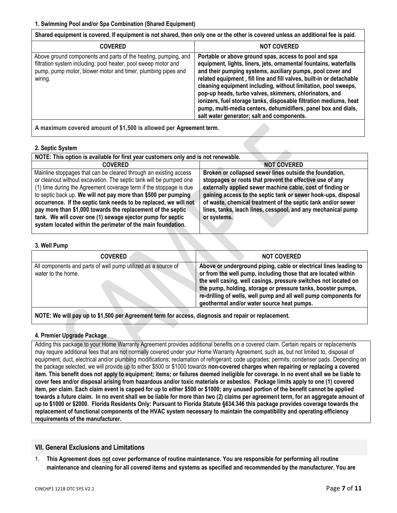<span id="page-6-0"></span>**Shared equipment is covered. If equipment is not shared, then only one or the other is covered unless an additional fee is paid**.

| <b>COVERED</b>                                                                                                                                                                                              | <b>NOT COVERED</b>                                                                                                                                                                                                                                                                                                                                                                                                                                                                                                                                                                 |
|-------------------------------------------------------------------------------------------------------------------------------------------------------------------------------------------------------------|------------------------------------------------------------------------------------------------------------------------------------------------------------------------------------------------------------------------------------------------------------------------------------------------------------------------------------------------------------------------------------------------------------------------------------------------------------------------------------------------------------------------------------------------------------------------------------|
| Above ground components and parts of the heating, pumping, and<br>filtration system including: pool heater, pool sweep motor and<br>pump, pump motor, blower motor and timer, plumbing pipes and<br>wiring. | Portable or above ground spas, access to pool and spa<br>equipment, lights, liners, jets, ornamental fountains, waterfalls<br>and their pumping systems, auxiliary pumps, pool cover and<br>related equipment, fill line and fill valves, built-in or detachable<br>cleaning equipment including, without limitation, pool sweeps,<br>pop-up heads, turbo valves, skimmers, chlorinators, and<br>ionizers, fuel storage tanks, disposable filtration mediums, heat<br>pump, multi-media centers, dehumidifiers, panel box and dials,<br>salt water generator; salt and components. |
|                                                                                                                                                                                                             |                                                                                                                                                                                                                                                                                                                                                                                                                                                                                                                                                                                    |

**A maximum covered amount of \$1,500 is allowed per Agreement term.**

## <span id="page-6-1"></span>**2. Septic System**

| NOTE: This option is available for first year customers only and is not renewable.                                                                                                                                                                                                                                                                                                                                                                                                                                                                                                                                                                                                                                                                                                                                                                                                    |  |  |
|---------------------------------------------------------------------------------------------------------------------------------------------------------------------------------------------------------------------------------------------------------------------------------------------------------------------------------------------------------------------------------------------------------------------------------------------------------------------------------------------------------------------------------------------------------------------------------------------------------------------------------------------------------------------------------------------------------------------------------------------------------------------------------------------------------------------------------------------------------------------------------------|--|--|
| <b>NOT COVERED</b><br><b>COVERED</b>                                                                                                                                                                                                                                                                                                                                                                                                                                                                                                                                                                                                                                                                                                                                                                                                                                                  |  |  |
| Broken or collapsed sewer lines outside the foundation,<br>Mainline stoppages that can be cleared through an existing access<br>or cleanout without excavation. The septic tank will be pumped one<br>stoppages or roots that prevent the effective use of any<br>externally applied sewer machine cable, cost of finding or<br>(1) time during the Agreement coverage term if the stoppage is due<br>to septic back up. We will not pay more than \$500 per pumping<br>gaining access to the septic tank or sewer hook-ups, disposal<br>of waste, chemical treatment of the septic tank and/or sewer<br>occurrence. If the septic tank needs to be replaced, we will not<br>pay more than \$1,000 towards the replacement of the septic<br>lines, tanks, leach lines, cesspool, and any mechanical pump<br>tank. We will cover one (1) sewage ejector pump for septic<br>or systems. |  |  |
| system located within the perimeter of the main foundation.                                                                                                                                                                                                                                                                                                                                                                                                                                                                                                                                                                                                                                                                                                                                                                                                                           |  |  |

### <span id="page-6-2"></span>**3. Well Pump**

| <b>COVERED</b>                                                                      | <b>NOT COVERED</b>                                                                                                                                                                                                                                                                                                                                                                       |
|-------------------------------------------------------------------------------------|------------------------------------------------------------------------------------------------------------------------------------------------------------------------------------------------------------------------------------------------------------------------------------------------------------------------------------------------------------------------------------------|
| All components and parts of well pump utilized as a source of<br>water to the home. | Above or underground piping, cable or electrical lines leading to<br>or from the well pump, including those that are located within<br>the well casing, well casings, pressure switches not located on<br>the pump, holding, storage or pressure tanks, booster pumps,<br>re-drilling of wells, well pump and all well pump components for<br>geothermal and/or water source heat pumps. |
|                                                                                     |                                                                                                                                                                                                                                                                                                                                                                                          |

**NOTE: We will pay up to \$1,500 per Agreement term for access, diagnosis and repair or replacement.**

### <span id="page-6-3"></span>**4. Premier Upgrade Package**

Adding this package to your Home Warranty Agreement provides additional benefits on a covered claim. Certain repairs or replacements may require additional fees that are not normally covered under your Home Warranty Agreement, such as, but not limited to, disposal of equipment; duct, electrical and/or plumbing modifications; reclamation of refrigerant; code upgrades; permits; condenser pads. Depending on the package selected, we will provide up to either \$500 or \$1000 towards **non-covered charges when repairing or replacing a covered item. This benefit does not apply to equipment; items; or failures deemed ineligible for coverage. In no event shall we be liable to cover fees and/or disposal arising from hazardous and/or toxic materials or asbestos. Package limits apply to one (1) covered item, per claim. Each claim event is capped for up to either \$500 or \$1000; any unused portion of the benefit cannot be applied towards a future claim. In no event shall we be liable for more than two (2) claims per agreement term, for an aggregate amount of up to \$1000 or \$2000. Florida Residents Only: Pursuant to Florida Statute §634.346 this package provides coverage towards the replacement of functional components of the HVAC system necessary to maintain the compatibility and operating efficiency requirements of the manufacturer.**

# <span id="page-6-4"></span>**VII. General Exclusions and Limitations**

1. **This Agreement does not cover performance of routine maintenance. You are responsible for performing all routine maintenance and cleaning for all covered items and systems as specified and recommended by the manufacturer. You are**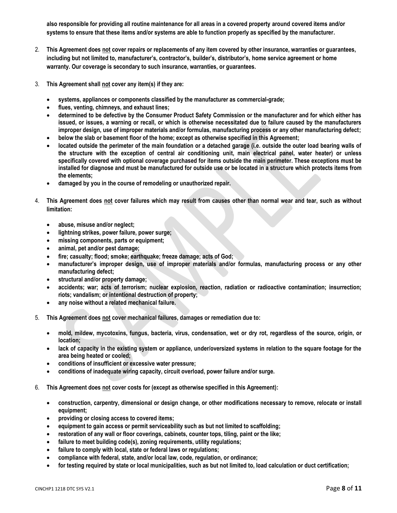**also responsible for providing all routine maintenance for all areas in a covered property around covered items and/or systems to ensure that these items and/or systems are able to function properly as specified by the manufacturer.**

- 2. **This Agreement does not cover repairs or replacements of any item covered by other insurance, warranties or guarantees, including but not limited to, manufacturer's, contractor's, builder's, distributor's, home service agreement or home warranty. Our coverage is secondary to such insurance, warranties, or guarantees.**
- 3. **This Agreement shall not cover any item(s) if they are:** 
	- **systems, appliances or components classified by the manufacturer as commercial-grade;**
	- **flues, venting, chimneys, and exhaust lines;**
	- **determined to be defective by the Consumer Product Safety Commission or the manufacturer and for which either has issued, or issues, a warning or recall, or which is otherwise necessitated due to failure caused by the manufacturers improper design, use of improper materials and/or formulas, manufacturing process or any other manufacturing defect;**
	- **below the slab or basement floor of the home; except as otherwise specified in this Agreement;**
	- **located outside the perimeter of the main foundation or a detached garage (i.e. outside the outer load bearing walls of the structure with the exception of central air conditioning unit, main electrical panel, water heater) or unless specifically covered with optional coverage purchased for items outside the main perimeter. These exceptions must be installed for diagnose and must be manufactured for outside use or be located in a structure which protects items from the elements;**
	- **damaged by you in the course of remodeling or unauthorized repair.**
- 4. **This Agreement does not cover failures which may result from causes other than normal wear and tear, such as without limitation:** 
	- **abuse, misuse and/or neglect;**
	- **lightning strikes, power failure, power surge;**
	- **missing components, parts or equipment;**
	- **animal, pet and/or pest damage;**
	- **fire; casualty; flood; smoke; earthquake; freeze damage; acts of God;**
	- **manufacturer's improper design, use of improper materials and/or formulas, manufacturing process or any other manufacturing defect;**
	- **structural and/or property damage;**
	- **accidents; war; acts of terrorism; nuclear explosion, reaction, radiation or radioactive contamination; insurrection; riots; vandalism; or intentional destruction of property;**
	- **any noise without a related mechanical failure.**
- 5. **This Agreement does not cover mechanical failures, damages or remediation due to:**
	- **mold, mildew, mycotoxins, fungus, bacteria, virus, condensation, wet or dry rot, regardless of the source, origin, or location;**
	- **lack of capacity in the existing system or appliance, under/oversized systems in relation to the square footage for the area being heated or cooled;**
	- **conditions of insufficient or excessive water pressure;**
	- **conditions of inadequate wiring capacity, circuit overload, power failure and/or surge.**
- 6. **This Agreement does not cover costs for (except as otherwise specified in this Agreement):**
	- **construction, carpentry, dimensional or design change, or other modifications necessary to remove, relocate or install equipment;**
	- **providing or closing access to covered items;**
	- **equipment to gain access or permit serviceability such as but not limited to scaffolding;**
	- **restoration of any wall or floor coverings, cabinets, counter tops, tiling, paint or the like;**
	- **failure to meet building code(s), zoning requirements, utility regulations;**
	- **failure to comply with local, state or federal laws or regulations;**
	- **compliance with federal, state, and/or local law, code, regulation, or ordinance;**
	- **for testing required by state or local municipalities, such as but not limited to, load calculation or duct certification;**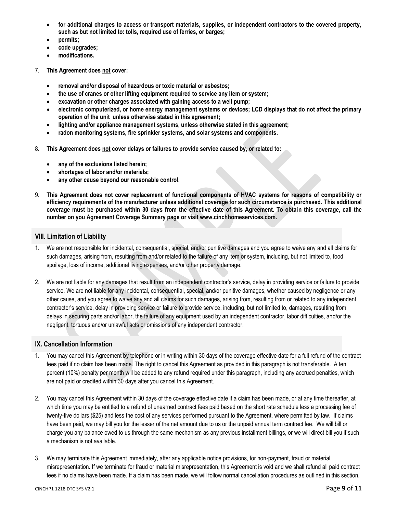- **for additional charges to access or transport materials, supplies, or independent contractors to the covered property, such as but not limited to: tolls, required use of ferries, or barges;**
- **permits;**
- **code upgrades;**
- **modifications.**
- 7. **This Agreement does not cover:** 
	- **removal and/or disposal of hazardous or toxic material or asbestos;**
	- **the use of cranes or other lifting equipment required to service any item or system;**
	- **excavation or other charges associated with gaining access to a well pump;**
	- **electronic computerized, or home energy management systems or devices; LCD displays that do not affect the primary operation of the unit unless otherwise stated in this agreement;**
	- **lighting and/or appliance management systems, unless otherwise stated in this agreement;**
	- **radon monitoring systems, fire sprinkler systems, and solar systems and components.**
- 8. **This Agreement does not cover delays or failures to provide service caused by, or related to:** 
	- **any of the exclusions listed herein;**
	- **shortages of labor and/or materials;**
	- **any other cause beyond our reasonable control.**
- 9. **This Agreement does not cover replacement of functional components of HVAC systems for reasons of compatibility or efficiency requirements of the manufacturer unless additional coverage for such circumstance is purchased. This additional coverage must be purchased within 30 days from the effective date of this Agreement. To obtain this coverage, call the number on you Agreement Coverage Summary page or visit www.cinchhomeservices.com.**

#### <span id="page-8-0"></span>**VIII. Limitation of Liability**

- 1. We are not responsible for incidental, consequential, special, and/or punitive damages and you agree to waive any and all claims for such damages, arising from, resulting from and/or related to the failure of any item or system, including, but not limited to, food spoilage, loss of income, additional living expenses, and/or other property damage.
- 2. We are not liable for any damages that result from an independent contractor's service, delay in providing service or failure to provide service. We are not liable for any incidental, consequential, special, and/or punitive damages, whether caused by negligence or any other cause, and you agree to waive any and all claims for such damages, arising from, resulting from or related to any independent contractor's service, delay in providing service or failure to provide service, including, but not limited to, damages, resulting from delays in securing parts and/or labor, the failure of any equipment used by an independent contractor, labor difficulties, and/or the negligent, tortuous and/or unlawful acts or omissions of any independent contractor.

## <span id="page-8-1"></span>**IX. Cancellation Information**

- 1. You may cancel this Agreement by telephone or in writing within 30 days of the coverage effective date for a full refund of the contract fees paid if no claim has been made. The right to cancel this Agreement as provided in this paragraph is not transferable. A ten percent (10%) penalty per month will be added to any refund required under this paragraph, including any accrued penalties, which are not paid or credited within 30 days after you cancel this Agreement.
- 2. You may cancel this Agreement within 30 days of the coverage effective date if a claim has been made, or at any time thereafter, at which time you may be entitled to a refund of unearned contract fees paid based on the short rate schedule less a processing fee of twenty-five dollars (\$25) and less the cost of any services performed pursuant to the Agreement, where permitted by law. If claims have been paid, we may bill you for the lesser of the net amount due to us or the unpaid annual term contract fee. We will bill or charge you any balance owed to us through the same mechanism as any previous installment billings, or we will direct bill you if such a mechanism is not available.
- 3. We may terminate this Agreement immediately, after any applicable notice provisions, for non-payment, fraud or material misrepresentation. If we terminate for fraud or material misrepresentation, this Agreement is void and we shall refund all paid contract fees if no claims have been made. If a claim has been made, we will follow normal cancellation procedures as outlined in this section.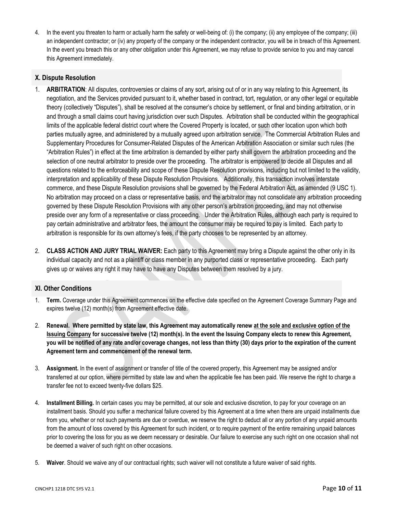4. In the event you threaten to harm or actually harm the safety or well-being of: (i) the company; (ii) any employee of the company; (iii) an independent contractor; or (iv) any property of the company or the independent contractor, you will be in breach of this Agreement. In the event you breach this or any other obligation under this Agreement, we may refuse to provide service to you and may cancel this Agreement immediately.

# <span id="page-9-0"></span>**X. Dispute Resolution**

- 1. **ARBITRATION**: All disputes, controversies or claims of any sort, arising out of or in any way relating to this Agreement, its negotiation, and the Services provided pursuant to it, whether based in contract, tort, regulation, or any other legal or equitable theory (collectively "Disputes"), shall be resolved at the consumer's choice by settlement, or final and binding arbitration, or in and through a small claims court having jurisdiction over such Disputes. Arbitration shall be conducted within the geographical limits of the applicable federal district court where the Covered Property is located, or such other location upon which both parties mutually agree, and administered by a mutually agreed upon arbitration service. The Commercial Arbitration Rules and Supplementary Procedures for Consumer-Related Disputes of the American Arbitration Association or similar such rules (the "Arbitration Rules") in effect at the time arbitration is demanded by either party shall govern the arbitration proceeding and the selection of one neutral arbitrator to preside over the proceeding. The arbitrator is empowered to decide all Disputes and all questions related to the enforceability and scope of these Dispute Resolution provisions, including but not limited to the validity, interpretation and applicability of these Dispute Resolution Provisions. Additionally, this transaction involves interstate commerce, and these Dispute Resolution provisions shall be governed by the Federal Arbitration Act, as amended (9 USC 1). No arbitration may proceed on a class or representative basis, and the arbitrator may not consolidate any arbitration proceeding governed by these Dispute Resolution Provisions with any other person's arbitration proceeding, and may not otherwise preside over any form of a representative or class proceeding. Under the Arbitration Rules, although each party is required to pay certain administrative and arbitrator fees, the amount the consumer may be required to pay is limited. Each party to arbitration is responsible for its own attorney's fees, if the party chooses to be represented by an attorney.
- 2. **CLASS ACTION AND JURY TRIAL WAIVER:** Each party to this Agreement may bring a Dispute against the other only in its individual capacity and not as a plaintiff or class member in any purported class or representative proceeding. Each party gives up or waives any right it may have to have any Disputes between them resolved by a jury.

# <span id="page-9-1"></span>**XI. Other Conditions**

- 1. **Term.** Coverage under this Agreement commences on the effective date specified on the Agreement Coverage Summary Page and expires twelve (12) month(s) from Agreement effective date.
- 2. **Renewal. Where permitted by state law, this Agreement may automatically renew at the sole and exclusive option of the Issuing Company for successive twelve (12) month(s). In the event the Issuing Company elects to renew this Agreement, you will be notified of any rate and/or coverage changes, not less than thirty (30) days prior to the expiration of the current Agreement term and commencement of the renewal term.**
- 3. **Assignment.** In the event of assignment or transfer of title of the covered property, this Agreement may be assigned and/or transferred at our option, where permitted by state law and when the applicable fee has been paid. We reserve the right to charge a transfer fee not to exceed twenty-five dollars \$25.
- 4. **Installment Billing.** In certain cases you may be permitted, at our sole and exclusive discretion, to pay for your coverage on an installment basis. Should you suffer a mechanical failure covered by this Agreement at a time when there are unpaid installments due from you, whether or not such payments are due or overdue, we reserve the right to deduct all or any portion of any unpaid amounts from the amount of loss covered by this Agreement for such incident, or to require payment of the entire remaining unpaid balances prior to covering the loss for you as we deem necessary or desirable. Our failure to exercise any such right on one occasion shall not be deemed a waiver of such right on other occasions.
- 5. **Waiver**. Should we waive any of our contractual rights; such waiver will not constitute a future waiver of said rights.